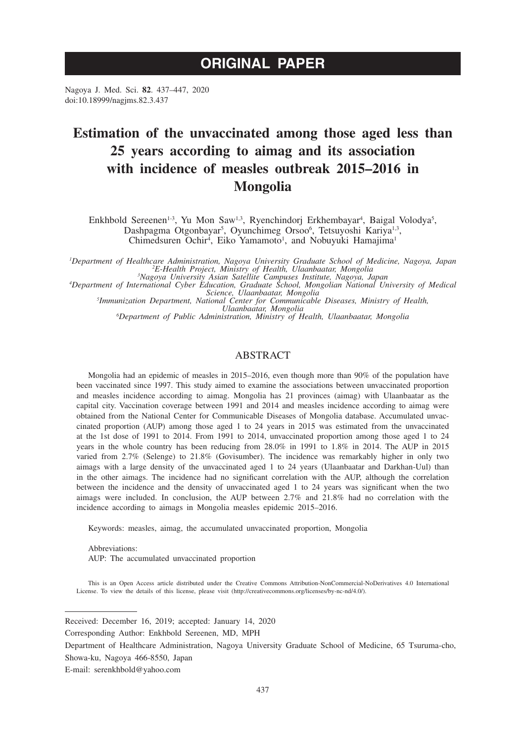# **ORIGINAL PAPER**

Nagoya J. Med. Sci. **82**. 437–447, 2020 doi:10.18999/nagjms.82.3.437

# **Estimation of the unvaccinated among those aged less than 25 years according to aimag and its association with incidence of measles outbreak 2015–2016 in Mongolia**

Enkhbold Sereenen<sup>1-3</sup>, Yu Mon Saw<sup>1,3</sup>, Ryenchindorj Erkhembayar<sup>4</sup>, Baigal Volodya<sup>5</sup>, Dashpagma Otgonbayar<sup>5</sup>, Oyunchimeg Orsoo<sup>6</sup>, Tetsuyoshi Kariya<sup>1,3</sup>, Chimedsuren Ochir<sup>4</sup>, Eiko Yamamoto<sup>1</sup>, and Nobuyuki Hamajima<sup>1</sup>

*1 Department of Healthcare Administration, Nagoya University Graduate School of Medicine, Nagoya, Japan <sup>2</sup>*

<sup>2</sup>E-Health Project, Ministry of Health, Ulaanbaatar, Mongolia<br><sup>3</sup>Nagoya University Asian Satellite Campuses Institute, Nagoya, Japan<br><sup>4</sup>Department of International Cyber Education, Graduate School, Mongolian National Univ

*Immunization Department, National Center for Communicable Diseases, Ministry of Health,* 

*Ulaanbaatar, Mongolia <sup>6</sup> Department of Public Administration, Ministry of Health, Ulaanbaatar, Mongolia*

## ABSTRACT

Mongolia had an epidemic of measles in 2015–2016, even though more than 90% of the population have been vaccinated since 1997. This study aimed to examine the associations between unvaccinated proportion and measles incidence according to aimag. Mongolia has 21 provinces (aimag) with Ulaanbaatar as the capital city. Vaccination coverage between 1991 and 2014 and measles incidence according to aimag were obtained from the National Center for Communicable Diseases of Mongolia database. Accumulated unvaccinated proportion (AUP) among those aged 1 to 24 years in 2015 was estimated from the unvaccinated at the 1st dose of 1991 to 2014. From 1991 to 2014, unvaccinated proportion among those aged 1 to 24 years in the whole country has been reducing from 28.0% in 1991 to 1.8% in 2014. The AUP in 2015 varied from 2.7% (Selenge) to 21.8% (Govisumber). The incidence was remarkably higher in only two aimags with a large density of the unvaccinated aged 1 to 24 years (Ulaanbaatar and Darkhan-Uul) than in the other aimags. The incidence had no significant correlation with the AUP, although the correlation between the incidence and the density of unvaccinated aged 1 to 24 years was significant when the two aimags were included. In conclusion, the AUP between 2.7% and 21.8% had no correlation with the incidence according to aimags in Mongolia measles epidemic 2015–2016.

Keywords: measles, aimag, the accumulated unvaccinated proportion, Mongolia

Abbreviations: AUP: The accumulated unvaccinated proportion

This is an Open Access article distributed under the Creative Commons Attribution-NonCommercial-NoDerivatives 4.0 International License. To view the details of this license, please visit (http://creativecommons.org/licenses/by-nc-nd/4.0/).

Received: December 16, 2019; accepted: January 14, 2020

Corresponding Author: Enkhbold Sereenen, MD, MPH

Department of Healthcare Administration, Nagoya University Graduate School of Medicine, 65 Tsuruma-cho, Showa-ku, Nagoya 466-8550, Japan

E-mail: serenkhbold@yahoo.com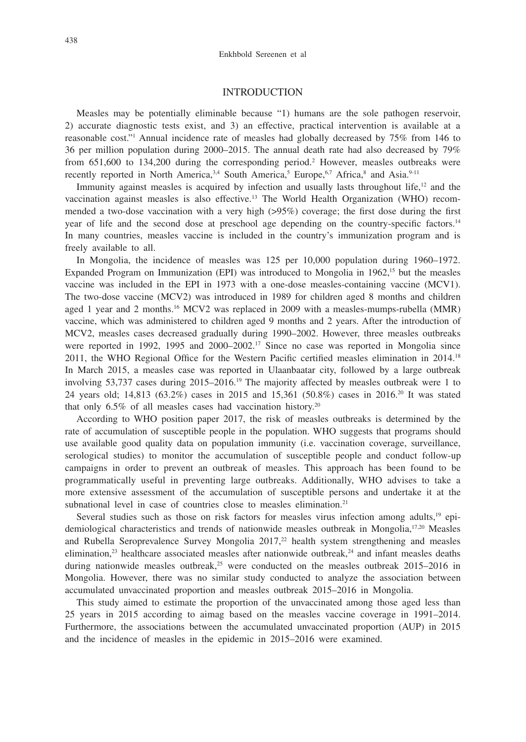## INTRODUCTION

Measles may be potentially eliminable because "1) humans are the sole pathogen reservoir, 2) accurate diagnostic tests exist, and 3) an effective, practical intervention is available at a reasonable cost."1 Annual incidence rate of measles had globally decreased by 75% from 146 to 36 per million population during 2000–2015. The annual death rate had also decreased by 79% from 651,600 to 134,200 during the corresponding period.<sup>2</sup> However, measles outbreaks were recently reported in North America,<sup>3,4</sup> South America,<sup>5</sup> Europe,<sup>6,7</sup> Africa,<sup>8</sup> and Asia.<sup>9-11</sup>

Immunity against measles is acquired by infection and usually lasts throughout life, $12$  and the vaccination against measles is also effective.13 The World Health Organization (WHO) recommended a two-dose vaccination with a very high (>95%) coverage; the first dose during the first year of life and the second dose at preschool age depending on the country-specific factors.<sup>14</sup> In many countries, measles vaccine is included in the country's immunization program and is freely available to all.

In Mongolia, the incidence of measles was 125 per 10,000 population during 1960–1972. Expanded Program on Immunization (EPI) was introduced to Mongolia in  $1962<sup>15</sup>$  but the measles vaccine was included in the EPI in 1973 with a one-dose measles-containing vaccine (MCV1). The two-dose vaccine (MCV2) was introduced in 1989 for children aged 8 months and children aged 1 year and 2 months.<sup>16</sup> MCV2 was replaced in 2009 with a measles-mumps-rubella (MMR) vaccine, which was administered to children aged 9 months and 2 years. After the introduction of MCV2, measles cases decreased gradually during 1990–2002. However, three measles outbreaks were reported in 1992, 1995 and 2000–2002.<sup>17</sup> Since no case was reported in Mongolia since 2011, the WHO Regional Office for the Western Pacific certified measles elimination in 2014.<sup>18</sup> In March 2015, a measles case was reported in Ulaanbaatar city, followed by a large outbreak involving 53,737 cases during  $2015-2016$ .<sup>19</sup> The majority affected by measles outbreak were 1 to 24 years old; 14,813 (63.2%) cases in 2015 and 15,361 (50.8%) cases in 2016.20 It was stated that only  $6.5\%$  of all measles cases had vaccination history.<sup>20</sup>

According to WHO position paper 2017, the risk of measles outbreaks is determined by the rate of accumulation of susceptible people in the population. WHO suggests that programs should use available good quality data on population immunity (i.e. vaccination coverage, surveillance, serological studies) to monitor the accumulation of susceptible people and conduct follow-up campaigns in order to prevent an outbreak of measles. This approach has been found to be programmatically useful in preventing large outbreaks. Additionally, WHO advises to take a more extensive assessment of the accumulation of susceptible persons and undertake it at the subnational level in case of countries close to measles elimination.<sup>21</sup>

Several studies such as those on risk factors for measles virus infection among adults,<sup>19</sup> epidemiological characteristics and trends of nationwide measles outbreak in Mongolia,<sup>17,20</sup> Measles and Rubella Seroprevalence Survey Mongolia  $2017<sup>22</sup>$  health system strengthening and measles elimination, $^{23}$  healthcare associated measles after nationwide outbreak, $^{24}$  and infant measles deaths during nationwide measles outbreak, $2<sup>5</sup>$  were conducted on the measles outbreak 2015–2016 in Mongolia. However, there was no similar study conducted to analyze the association between accumulated unvaccinated proportion and measles outbreak 2015–2016 in Mongolia.

This study aimed to estimate the proportion of the unvaccinated among those aged less than 25 years in 2015 according to aimag based on the measles vaccine coverage in 1991–2014. Furthermore, the associations between the accumulated unvaccinated proportion (AUP) in 2015 and the incidence of measles in the epidemic in 2015–2016 were examined.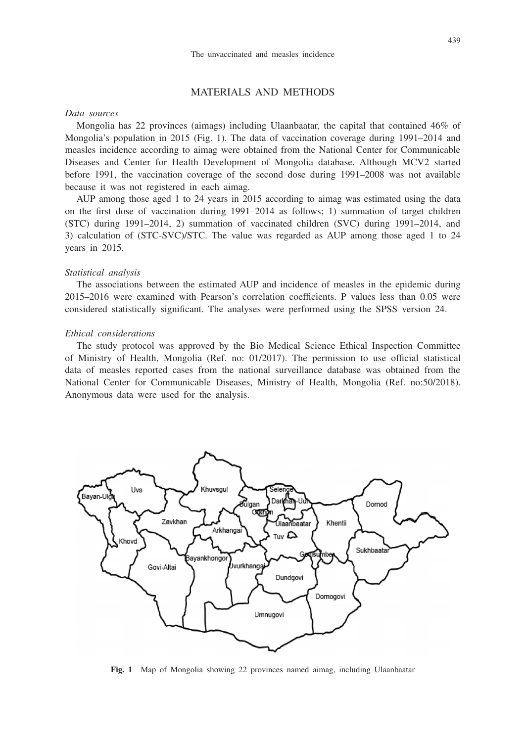## MATERIALS AND METHODS

### *Data sources*

Mongolia has 22 provinces (aimags) including Ulaanbaatar, the capital that contained 46% of Mongolia's population in 2015 (Fig. 1). The data of vaccination coverage during 1991–2014 and measles incidence according to aimag were obtained from the National Center for Communicable Diseases and Center for Health Development of Mongolia database. Although MCV2 started before 1991, the vaccination coverage of the second dose during 1991–2008 was not available because it was not registered in each aimag.

AUP among those aged 1 to 24 years in 2015 according to aimag was estimated using the data on the first dose of vaccination during 1991–2014 as follows; 1) summation of target children (STC) during 1991–2014, 2) summation of vaccinated children (SVC) during 1991–2014, and 3) calculation of (STC-SVC)/STC. The value was regarded as AUP among those aged 1 to 24 years in 2015.

#### *Statistical analysis*

The associations between the estimated AUP and incidence of measles in the epidemic during 2015–2016 were examined with Pearson's correlation coefficients. P values less than 0.05 were considered statistically significant. The analyses were performed using the SPSS version 24.

#### *Ethical considerations*

The study protocol was approved by the Bio Medical Science Ethical Inspection Committee of Ministry of Health, Mongolia (Ref. no: 01/2017). The permission to use official statistical data of measles reported cases from the national surveillance database was obtained from the National Center for Communicable Diseases, Ministry of Health, Mongolia (Ref. no:50/2018). Anonymous data were used for the analysis.



**Fig. 1** Map of Mongolia showing 22 provinces named aimag, including Ulaanbaatar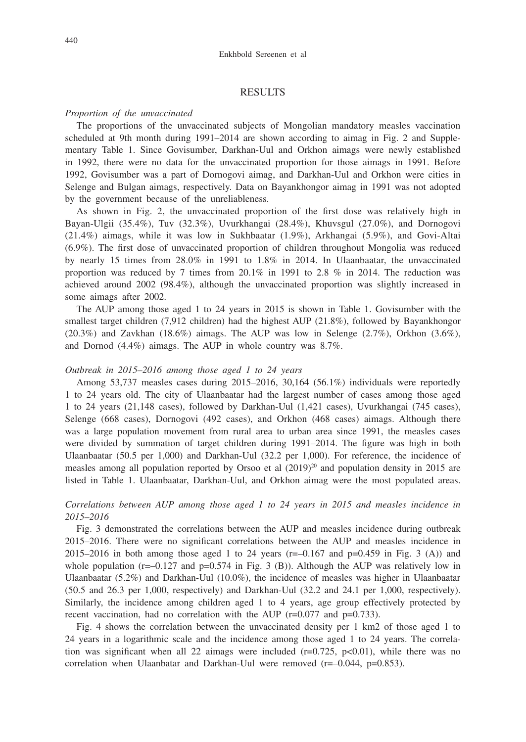### RESULTS

#### *Proportion of the unvaccinated*

The proportions of the unvaccinated subjects of Mongolian mandatory measles vaccination scheduled at 9th month during 1991–2014 are shown according to aimag in Fig. 2 and Supplementary Table 1. Since Govisumber, Darkhan-Uul and Orkhon aimags were newly established in 1992, there were no data for the unvaccinated proportion for those aimags in 1991. Before 1992, Govisumber was a part of Dornogovi aimag, and Darkhan-Uul and Orkhon were cities in Selenge and Bulgan aimags, respectively. Data on Bayankhongor aimag in 1991 was not adopted by the government because of the unreliableness.

As shown in Fig. 2, the unvaccinated proportion of the first dose was relatively high in Bayan-Ulgii (35.4%), Tuv (32.3%), Uvurkhangai (28.4%), Khuvsgul (27.0%), and Dornogovi (21.4%) aimags, while it was low in Sukhbaatar (1.9%), Arkhangai (5.9%), and Govi-Altai (6.9%). The first dose of unvaccinated proportion of children throughout Mongolia was reduced by nearly 15 times from 28.0% in 1991 to 1.8% in 2014. In Ulaanbaatar, the unvaccinated proportion was reduced by 7 times from  $20.1\%$  in 1991 to 2.8 % in 2014. The reduction was achieved around 2002 (98.4%), although the unvaccinated proportion was slightly increased in some aimags after 2002.

The AUP among those aged 1 to 24 years in 2015 is shown in Table 1. Govisumber with the smallest target children (7,912 children) had the highest AUP (21.8%), followed by Bayankhongor  $(20.3\%)$  and Zavkhan  $(18.6\%)$  aimags. The AUP was low in Selenge  $(2.7\%)$ , Orkhon  $(3.6\%)$ , and Dornod (4.4%) aimags. The AUP in whole country was 8.7%.

#### *Outbreak in 2015–2016 among those aged 1 to 24 years*

Among 53,737 measles cases during 2015–2016, 30,164 (56.1%) individuals were reportedly 1 to 24 years old. The city of Ulaanbaatar had the largest number of cases among those aged 1 to 24 years (21,148 cases), followed by Darkhan-Uul (1,421 cases), Uvurkhangai (745 cases), Selenge (668 cases), Dornogovi (492 cases), and Orkhon (468 cases) aimags. Although there was a large population movement from rural area to urban area since 1991, the measles cases were divided by summation of target children during 1991–2014. The figure was high in both Ulaanbaatar (50.5 per 1,000) and Darkhan-Uul (32.2 per 1,000). For reference, the incidence of measles among all population reported by Orsoo et al  $(2019)^{20}$  and population density in 2015 are listed in Table 1. Ulaanbaatar, Darkhan-Uul, and Orkhon aimag were the most populated areas.

## *Correlations between AUP among those aged 1 to 24 years in 2015 and measles incidence in 2015–2016*

Fig. 3 demonstrated the correlations between the AUP and measles incidence during outbreak 2015–2016. There were no significant correlations between the AUP and measles incidence in 2015–2016 in both among those aged 1 to 24 years ( $r=-0.167$  and  $p=0.459$  in Fig. 3 (A)) and whole population ( $r=-0.127$  and  $p=0.574$  in Fig. 3 (B)). Although the AUP was relatively low in Ulaanbaatar (5.2%) and Darkhan-Uul (10.0%), the incidence of measles was higher in Ulaanbaatar (50.5 and 26.3 per 1,000, respectively) and Darkhan-Uul (32.2 and 24.1 per 1,000, respectively). Similarly, the incidence among children aged 1 to 4 years, age group effectively protected by recent vaccination, had no correlation with the AUP  $(r=0.077$  and  $p=0.733)$ .

Fig. 4 shows the correlation between the unvaccinated density per 1 km2 of those aged 1 to 24 years in a logarithmic scale and the incidence among those aged 1 to 24 years. The correlation was significant when all 22 aimags were included  $(r=0.725, p<0.01)$ , while there was no correlation when Ulaanbatar and Darkhan-Uul were removed  $(r=-0.044, p=0.853)$ .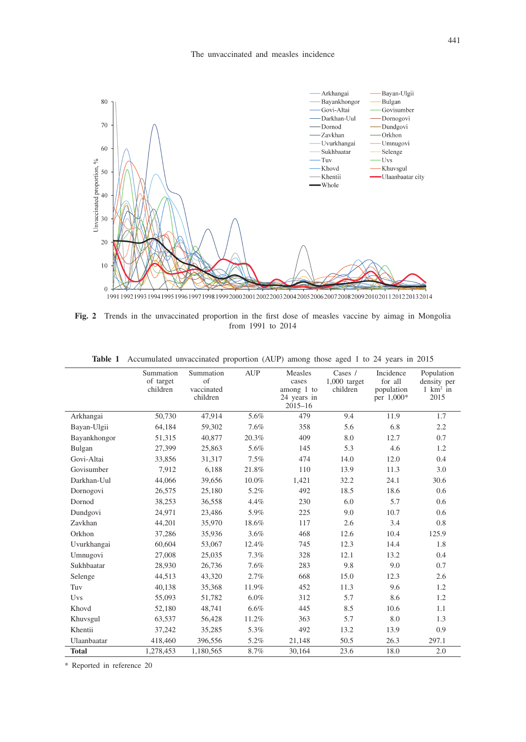

**Fig. 2** Trends in the unvaccinated proportion in the first dose of measles vaccine by aimag in Mongolia from 1991 to 2014

|              | Summation<br>of target<br>children | Summation<br>of<br>vaccinated<br>children | <b>AUP</b> | Measles<br>cases<br>among 1 to<br>24 years in<br>$2015 - 16$ | Cases $/$<br>$1,000$ target<br>children | Incidence<br>for all<br>population<br>per 1,000* | Population<br>density per<br>$1 \text{ km}^2$ in<br>2015 |
|--------------|------------------------------------|-------------------------------------------|------------|--------------------------------------------------------------|-----------------------------------------|--------------------------------------------------|----------------------------------------------------------|
| Arkhangai    | 50,730                             | 47,914                                    | 5.6%       | 479                                                          | 9.4                                     | 11.9                                             | 1.7                                                      |
| Bayan-Ulgii  | 64,184                             | 59,302                                    | 7.6%       | 358                                                          | 5.6                                     | 6.8                                              | 2.2                                                      |
| Bayankhongor | 51,315                             | 40,877                                    | 20.3%      | 409                                                          | 8.0                                     | 12.7                                             | 0.7                                                      |
| Bulgan       | 27,399                             | 25,863                                    | 5.6%       | 145                                                          | 5.3                                     | 4.6                                              | 1.2                                                      |
| Govi-Altai   | 33,856                             | 31,317                                    | 7.5%       | 474                                                          | 14.0                                    | 12.0                                             | 0.4                                                      |
| Govisumber   | 7,912                              | 6,188                                     | 21.8%      | 110                                                          | 13.9                                    | 11.3                                             | 3.0                                                      |
| Darkhan-Uul  | 44,066                             | 39,656                                    | 10.0%      | 1,421                                                        | 32.2                                    | 24.1                                             | 30.6                                                     |
| Dornogovi    | 26,575                             | 25,180                                    | 5.2%       | 492                                                          | 18.5                                    | 18.6                                             | 0.6                                                      |
| Dornod       | 38,253                             | 36,558                                    | 4.4%       | 230                                                          | 6.0                                     | 5.7                                              | 0.6                                                      |
| Dundgovi     | 24,971                             | 23,486                                    | 5.9%       | 225                                                          | 9.0                                     | 10.7                                             | 0.6                                                      |
| Zavkhan      | 44,201                             | 35,970                                    | 18.6%      | 117                                                          | 2.6                                     | 3.4                                              | 0.8                                                      |
| Orkhon       | 37,286                             | 35,936                                    | 3.6%       | 468                                                          | 12.6                                    | 10.4                                             | 125.9                                                    |
| Uvurkhangai  | 60,604                             | 53,067                                    | 12.4%      | 745                                                          | 12.3                                    | 14.4                                             | 1.8                                                      |
| Umnugovi     | 27,008                             | 25,035                                    | 7.3%       | 328                                                          | 12.1                                    | 13.2                                             | 0.4                                                      |
| Sukhbaatar   | 28,930                             | 26,736                                    | 7.6%       | 283                                                          | 9.8                                     | 9.0                                              | 0.7                                                      |
| Selenge      | 44,513                             | 43,320                                    | 2.7%       | 668                                                          | 15.0                                    | 12.3                                             | 2.6                                                      |
| Tuv          | 40,138                             | 35,368                                    | 11.9%      | 452                                                          | 11.3                                    | 9.6                                              | 1.2                                                      |
| Uvs          | 55,093                             | 51,782                                    | $6.0\%$    | 312                                                          | 5.7                                     | 8.6                                              | 1.2                                                      |
| Khovd        | 52,180                             | 48,741                                    | 6.6%       | 445                                                          | 8.5                                     | 10.6                                             | 1.1                                                      |
| Khuvsgul     | 63,537                             | 56,428                                    | 11.2%      | 363                                                          | 5.7                                     | 8.0                                              | 1.3                                                      |
| Khentii      | 37,242                             | 35,285                                    | 5.3%       | 492                                                          | 13.2                                    | 13.9                                             | 0.9                                                      |
| Ulaanbaatar  | 418,460                            | 396,556                                   | 5.2%       | 21,148                                                       | 50.5                                    | 26.3                                             | 297.1                                                    |
| <b>Total</b> | 1.278.453                          | 1.180.565                                 | 8.7%       | 30.164                                                       | 23.6                                    | 18.0                                             | 2.0                                                      |

**Table 1** Accumulated unvaccinated proportion (AUP) among those aged 1 to 24 years in 2015

\* Reported in reference 20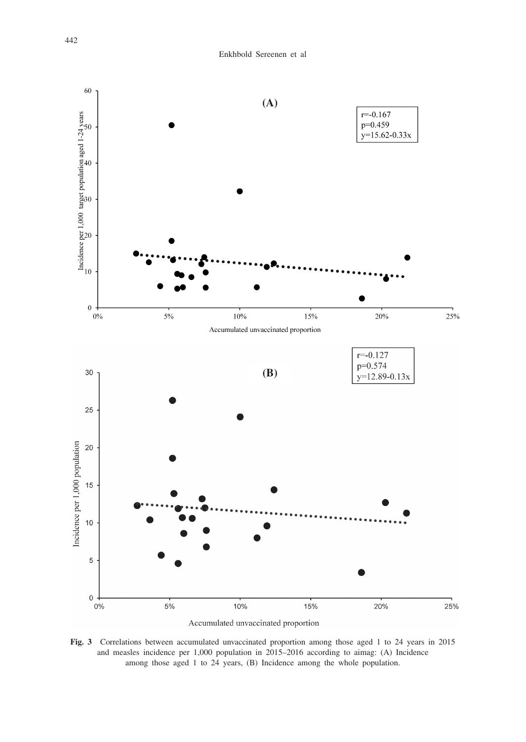

Accumulated unvaccinated proportion

**Fig. 3** Correlations between accumulated unvaccinated proportion among those aged 1 to 24 years in 2015 and measles incidence per 1,000 population in 2015–2016 according to aimag: (A) Incidence among those aged 1 to 24 years, (B) Incidence among the whole population.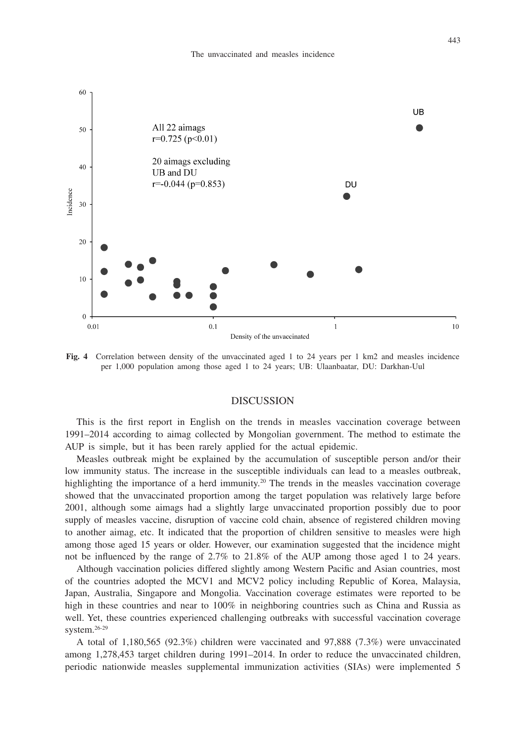

**Fig. 4** Correlation between density of the unvaccinated aged 1 to 24 years per 1 km2 and measles incidence per 1,000 population among those aged 1 to 24 years; UB: Ulaanbaatar, DU: Darkhan-Uul

#### DISCUSSION

This is the first report in English on the trends in measles vaccination coverage between 1991–2014 according to aimag collected by Mongolian government. The method to estimate the AUP is simple, but it has been rarely applied for the actual epidemic.

Measles outbreak might be explained by the accumulation of susceptible person and/or their low immunity status. The increase in the susceptible individuals can lead to a measles outbreak, highlighting the importance of a herd immunity.<sup>20</sup> The trends in the measles vaccination coverage showed that the unvaccinated proportion among the target population was relatively large before 2001, although some aimags had a slightly large unvaccinated proportion possibly due to poor supply of measles vaccine, disruption of vaccine cold chain, absence of registered children moving to another aimag, etc. It indicated that the proportion of children sensitive to measles were high among those aged 15 years or older. However, our examination suggested that the incidence might not be influenced by the range of 2.7% to 21.8% of the AUP among those aged 1 to 24 years.

Although vaccination policies differed slightly among Western Pacific and Asian countries, most of the countries adopted the MCV1 and MCV2 policy including Republic of Korea, Malaysia, Japan, Australia, Singapore and Mongolia. Vaccination coverage estimates were reported to be high in these countries and near to 100% in neighboring countries such as China and Russia as well. Yet, these countries experienced challenging outbreaks with successful vaccination coverage system.26-29

A total of 1,180,565 (92.3%) children were vaccinated and 97,888 (7.3%) were unvaccinated among 1,278,453 target children during 1991–2014. In order to reduce the unvaccinated children, periodic nationwide measles supplemental immunization activities (SIAs) were implemented 5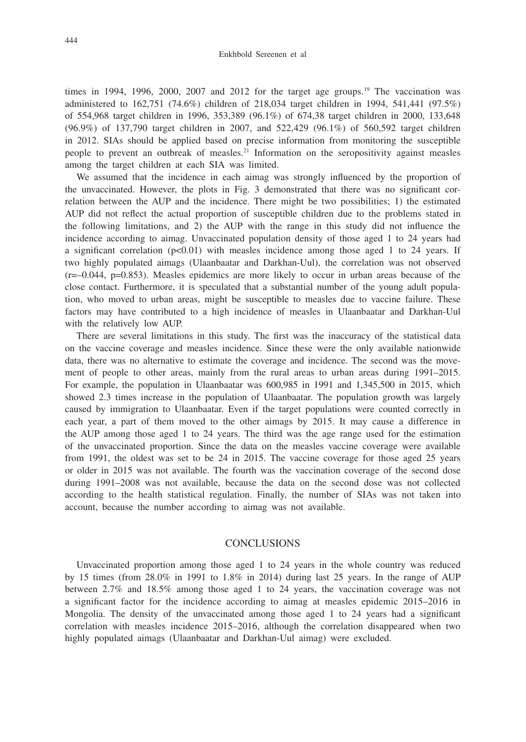times in 1994, 1996, 2000, 2007 and 2012 for the target age groups.<sup>19</sup> The vaccination was administered to 162,751 (74.6%) children of 218,034 target children in 1994, 541,441 (97.5%) of 554,968 target children in 1996, 353,389 (96.1%) of 674,38 target children in 2000, 133,648 (96.9%) of 137,790 target children in 2007, and 522,429 (96.1%) of 560,592 target children in 2012. SIAs should be applied based on precise information from monitoring the susceptible people to prevent an outbreak of measles.21 Information on the seropositivity against measles among the target children at each SIA was limited.

We assumed that the incidence in each aimag was strongly influenced by the proportion of the unvaccinated. However, the plots in Fig. 3 demonstrated that there was no significant correlation between the AUP and the incidence. There might be two possibilities; 1) the estimated AUP did not reflect the actual proportion of susceptible children due to the problems stated in the following limitations, and 2) the AUP with the range in this study did not influence the incidence according to aimag. Unvaccinated population density of those aged 1 to 24 years had a significant correlation (p<0.01) with measles incidence among those aged 1 to 24 years. If two highly populated aimags (Ulaanbaatar and Darkhan-Uul), the correlation was not observed  $(r=-0.044, p=0.853)$ . Measles epidemics are more likely to occur in urban areas because of the close contact. Furthermore, it is speculated that a substantial number of the young adult population, who moved to urban areas, might be susceptible to measles due to vaccine failure. These factors may have contributed to a high incidence of measles in Ulaanbaatar and Darkhan-Uul with the relatively low AUP.

There are several limitations in this study. The first was the inaccuracy of the statistical data on the vaccine coverage and measles incidence. Since these were the only available nationwide data, there was no alternative to estimate the coverage and incidence. The second was the movement of people to other areas, mainly from the rural areas to urban areas during 1991–2015. For example, the population in Ulaanbaatar was 600,985 in 1991 and 1,345,500 in 2015, which showed 2.3 times increase in the population of Ulaanbaatar. The population growth was largely caused by immigration to Ulaanbaatar. Even if the target populations were counted correctly in each year, a part of them moved to the other aimags by 2015. It may cause a difference in the AUP among those aged 1 to 24 years. The third was the age range used for the estimation of the unvaccinated proportion. Since the data on the measles vaccine coverage were available from 1991, the oldest was set to be 24 in 2015. The vaccine coverage for those aged 25 years or older in 2015 was not available. The fourth was the vaccination coverage of the second dose during 1991–2008 was not available, because the data on the second dose was not collected according to the health statistical regulation. Finally, the number of SIAs was not taken into account, because the number according to aimag was not available.

# **CONCLUSIONS**

Unvaccinated proportion among those aged 1 to 24 years in the whole country was reduced by 15 times (from 28.0% in 1991 to 1.8% in 2014) during last 25 years. In the range of AUP between 2.7% and 18.5% among those aged 1 to 24 years, the vaccination coverage was not a significant factor for the incidence according to aimag at measles epidemic 2015–2016 in Mongolia. The density of the unvaccinated among those aged 1 to 24 years had a significant correlation with measles incidence 2015–2016, although the correlation disappeared when two highly populated aimags (Ulaanbaatar and Darkhan-Uul aimag) were excluded.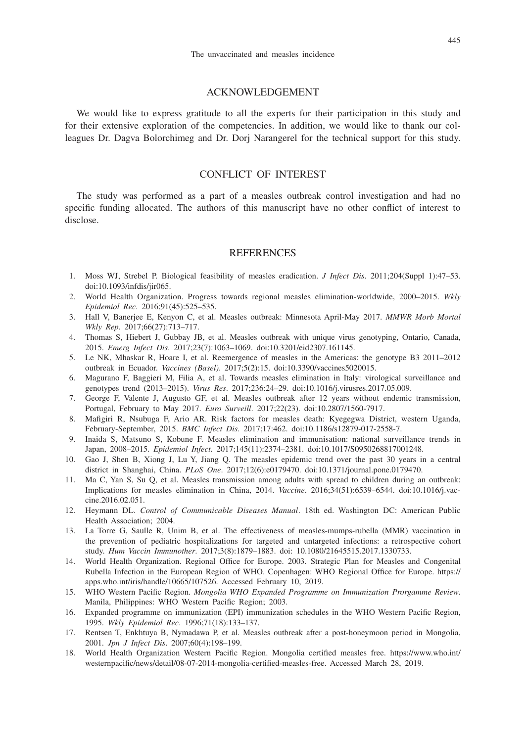## ACKNOWLEDGEMENT

We would like to express gratitude to all the experts for their participation in this study and for their extensive exploration of the competencies. In addition, we would like to thank our colleagues Dr. Dagva Bolorchimeg and Dr. Dorj Narangerel for the technical support for this study.

# CONFLICT OF INTEREST

The study was performed as a part of a measles outbreak control investigation and had no specific funding allocated. The authors of this manuscript have no other conflict of interest to disclose.

## **REFERENCES**

- 1. Moss WJ, Strebel P. Biological feasibility of measles eradication. *J Infect Dis*. 2011;204(Suppl 1):47–53. doi:10.1093/infdis/jir065.
- 2. World Health Organization. Progress towards regional measles elimination-worldwide, 2000–2015. *Wkly Epidemiol Rec*. 2016;91(45):525–535.
- 3. Hall V, Banerjee E, Kenyon C, et al. Measles outbreak: Minnesota April-May 2017. *MMWR Morb Mortal Wkly Rep*. 2017;66(27):713–717.
- 4. Thomas S, Hiebert J, Gubbay JB, et al. Measles outbreak with unique virus genotyping, Ontario, Canada, 2015. *Emerg Infect Dis*. 2017;23(7):1063–1069. doi:10.3201/eid2307.161145.
- 5. Le NK, Mhaskar R, Hoare I, et al. Reemergence of measles in the Americas: the genotype B3 2011–2012 outbreak in Ecuador. *Vaccines (Basel)*. 2017;5(2):15. doi:10.3390/vaccines5020015.
- 6. Magurano F, Baggieri M, Filia A, et al. Towards measles elimination in Italy: virological surveillance and genotypes trend (2013–2015). *Virus Res*. 2017;236:24–29. doi:10.1016/j.virusres.2017.05.009.
- 7. George F, Valente J, Augusto GF, et al. Measles outbreak after 12 years without endemic transmission, Portugal, February to May 2017. *Euro Surveill*. 2017;22(23). doi:10.2807/1560-7917.
- 8. Mafigiri R, Nsubuga F, Ario AR. Risk factors for measles death: Kyegegwa District, western Uganda, February-September, 2015. *BMC Infect Dis*. 2017;17:462. doi:10.1186/s12879-017-2558-7.
- 9. Inaida S, Matsuno S, Kobune F. Measles elimination and immunisation: national surveillance trends in Japan, 2008–2015. *Epidemiol Infect*. 2017;145(11):2374–2381. doi:10.1017/S0950268817001248.
- 10. Gao J, Shen B, Xiong J, Lu Y, Jiang Q. The measles epidemic trend over the past 30 years in a central district in Shanghai, China. *PLoS One*. 2017;12(6):e0179470. doi:10.1371/journal.pone.0179470.
- 11. Ma C, Yan S, Su Q, et al. Measles transmission among adults with spread to children during an outbreak: Implications for measles elimination in China, 2014. *Vaccine*. 2016;34(51):6539–6544. doi:10.1016/j.vaccine.2016.02.051.
- 12. Heymann DL. *Control of Communicable Diseases Manual*. 18th ed. Washington DC: American Public Health Association; 2004.
- 13. La Torre G, Saulle R, Unim B, et al. The effectiveness of measles-mumps-rubella (MMR) vaccination in the prevention of pediatric hospitalizations for targeted and untargeted infections: a retrospective cohort study. *Hum Vaccin Immunother*. 2017;3(8):1879–1883. doi: 10.1080/21645515.2017.1330733.
- 14. World Health Organization. Regional Office for Europe. 2003. Strategic Plan for Measles and Congenital Rubella Infection in the European Region of WHO. Copenhagen: WHO Regional Office for Europe. https:// apps.who.int/iris/handle/10665/107526. Accessed February 10, 2019.
- 15. WHO Western Pacific Region. *Mongolia WHO Expanded Programme on Immunization Prorgamme Review*. Manila, Philippines: WHO Western Pacific Region; 2003.
- 16. Expanded programme on immunization (EPI) immunization schedules in the WHO Western Pacific Region, 1995. *Wkly Epidemiol Rec*. 1996;71(18):133–137.
- 17. Rentsen T, Enkhtuya B, Nymadawa P, et al. Measles outbreak after a post-honeymoon period in Mongolia, 2001. *Jpn J Infect Dis*. 2007;60(4):198–199.
- 18. World Health Organization Western Pacific Region. Mongolia certified measles free. https://www.who.int/ westernpacific/news/detail/08-07-2014-mongolia-certified-measles-free. Accessed March 28, 2019.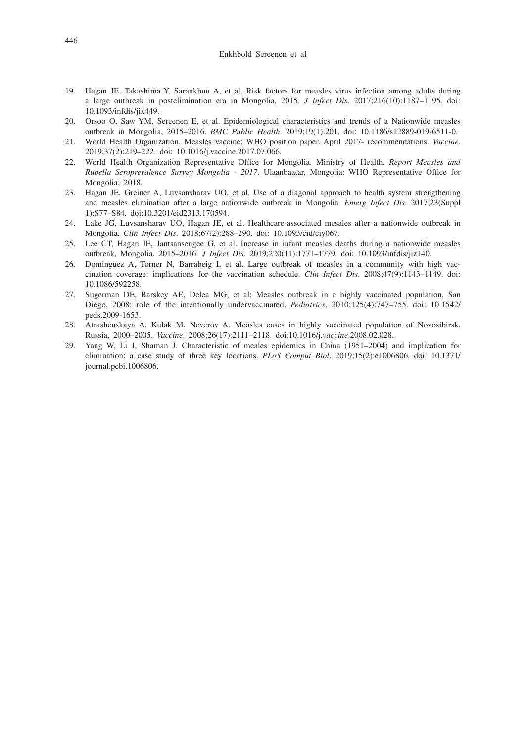#### Enkhbold Sereenen et al

- 19. Hagan JE, Takashima Y, Sarankhuu A, et al. Risk factors for measles virus infection among adults during a large outbreak in postelimination era in Mongolia, 2015. *J Infect Dis*. 2017;216(10):1187–1195. doi: 10.1093/infdis/jix449.
- 20. Orsoo O, Saw YM, Sereenen E, et al. Epidemiological characteristics and trends of a Nationwide measles outbreak in Mongolia, 2015–2016. *BMC Public Health*. 2019;19(1):201. doi: 10.1186/s12889-019-6511-0.
- 21. World Health Organization. Measles vaccine: WHO position paper. April 2017- recommendations. *Vaccine*. 2019;37(2):219–222. doi: 10.1016/j.vaccine.2017.07.066.
- 22. World Health Organization Representative Office for Mongolia. Ministry of Health. *Report Measles and Rubella Seroprevalence Survey Mongolia - 2017*. Ulaanbaatar, Mongolia: WHO Representative Office for Mongolia; 2018.
- 23. Hagan JE, Greiner A, Luvsansharav UO, et al. Use of a diagonal approach to health system strengthening and measles elimination after a large nationwide outbreak in Mongolia. *Emerg Infect Dis*. 2017;23(Suppl 1):S77–S84. doi:10.3201/eid2313.170594.
- 24. Lake JG, Luvsansharav UO, Hagan JE, et al. Healthcare-associated mesales after a nationwide outbreak in Mongolia. *Clin Infect Dis*. 2018;67(2):288–290. doi: 10.1093/cid/ciy067.
- 25. Lee CT, Hagan JE, Jantsansengee G, et al. Increase in infant measles deaths during a nationwide measles outbreak, Mongolia, 2015–2016. *J Infect Dis*. 2019;220(11):1771–1779. doi: 10.1093/infdis/jiz140.
- 26. Dominguez A, Torner N, Barrabeig I, et al. Large outbreak of measles in a community with high vaccination coverage: implications for the vaccination schedule. *Clin Infect Dis*. 2008;47(9):1143–1149. doi: 10.1086/592258.
- 27. Sugerman DE, Barskey AE, Delea MG, et al: Measles outbreak in a highly vaccinated population, San Diego, 2008: role of the intentionally undervaccinated. *Pediatrics*. 2010;125(4):747–755. doi: 10.1542/ peds.2009-1653.
- 28. Atrasheuskaya A, Kulak M, Neverov A. Measles cases in highly vaccinated population of Novosibirsk, Russia, 2000–2005. *Vaccine*. 2008;26(17):2111–2118. doi:10.1016/j.*vaccine*.2008.02.028.
- 29. Yang W, Li J, Shaman J. Characteristic of meales epidemics in China (1951–2004) and implication for elimination: a case study of three key locations. *PLoS Comput Biol*. 2019;15(2):e1006806. doi: 10.1371/ journal.pcbi.1006806.